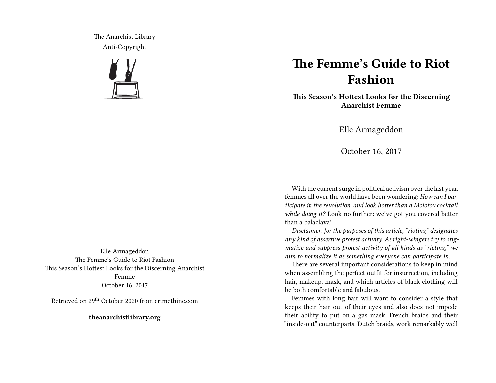The Anarchist Library Anti-Copyright



## **The Femme's Guide to Riot Fashion**

**This Season's Hottest Looks for the Discerning Anarchist Femme**

Elle Armageddon

October 16, 2017

With the current surge in political activism over the last year, femmes all over the world have been wondering: *How can I participate in the revolution, and look hotter than a Molotov cocktail while doing it?* Look no further: we've got you covered better than a balaclava!

*Disclaimer: for the purposes of this article, "rioting" designates any kind of assertive protest activity. As right-wingers try to stigmatize and suppress protest activity of all kinds as "rioting," we aim to normalize it as something everyone can participate in.*

There are several important considerations to keep in mind when assembling the perfect outfit for insurrection, including hair, makeup, mask, and which articles of black clothing will be both comfortable and fabulous.

Femmes with long hair will want to consider a style that keeps their hair out of their eyes and also does not impede their ability to put on a gas mask. French braids and their "inside-out" counterparts, Dutch braids, work remarkably well

Elle Armageddon The Femme's Guide to Riot Fashion This Season's Hottest Looks for the Discerning Anarchist Femme October 16, 2017

Retrieved on 29th October 2020 from crimethinc.com

**theanarchistlibrary.org**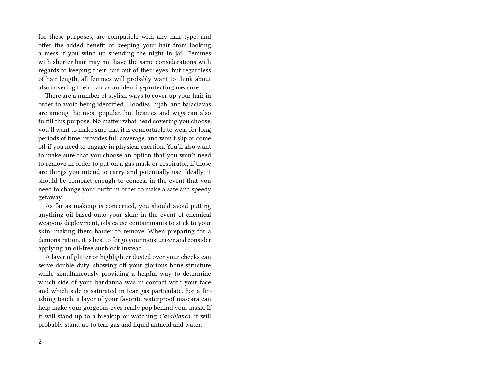for these purposes, are compatible with any hair type, and offer the added benefit of keeping your hair from looking a mess if you wind up spending the night in jail. Femmes with shorter hair may not have the same considerations with regards to keeping their hair out of their eyes; but regardless of hair length, all femmes will probably want to think about also covering their hair as an identity-protecting measure.

There are a number of stylish ways to cover up your hair in order to avoid being identified. Hoodies, hijab, and balaclavas are among the most popular, but beanies and wigs can also fulfill this purpose. No matter what head covering you choose, you'll want to make sure that it is comfortable to wear for long periods of time, provides full coverage, and won't slip or come off if you need to engage in physical exertion. You'll also want to make sure that you choose an option that you won't need to remove in order to put on a gas mask or respirator, if those are things you intend to carry and potentially use. Ideally, it should be compact enough to conceal in the event that you need to change your outfit in order to make a safe and speedy getaway.

As far as makeup is concerned, you should avoid putting anything oil-based onto your skin: in the event of chemical weapons deployment, oils cause contaminants to stick to your skin, making them harder to remove. When preparing for a demonstration, it is best to forgo your moisturizer and consider applying an oil-free sunblock instead.

A layer of glitter or highlighter dusted over your cheeks can serve double duty, showing off your glorious bone structure while simultaneously providing a helpful way to determine which side of your bandanna was in contact with your face and which side is saturated in tear gas particulate. For a finishing touch, a layer of your favorite waterproof mascara can help make your gorgeous eyes really pop behind your mask. If it will stand up to a breakup or watching *Casablanca,* it will probably stand up to tear gas and liquid antacid and water.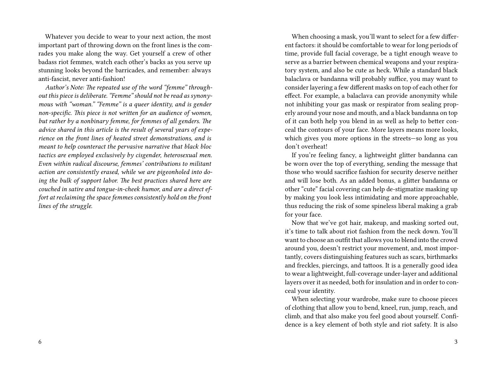Whatever you decide to wear to your next action, the most important part of throwing down on the front lines is the comrades you make along the way. Get yourself a crew of other badass riot femmes, watch each other's backs as you serve up stunning looks beyond the barricades, and remember: always anti-fascist, never anti-fashion!

*Author's Note: The repeated use of the word "femme" throughout this piece is deliberate. "Femme" should not be read as synonymous with "woman." "Femme" is a queer identity, and is gender non-specific. This piece is not written for an audience of women, but rather by a nonbinary femme, for femmes of all genders. The advice shared in this article is the result of several years of experience on the front lines of heated street demonstrations, and is meant to help counteract the pervasive narrative that black bloc tactics are employed exclusively by cisgender, heterosexual men. Even within radical discourse, femmes' contributions to militant action are consistently erased, while we are pigeonholed into doing the bulk of support labor. The best practices shared here are couched in satire and tongue-in-cheek humor, and are a direct effort at reclaiming the space femmes consistently hold on the front lines of the struggle.*

When choosing a mask, you'll want to select for a few different factors: it should be comfortable to wear for long periods of time, provide full facial coverage, be a tight enough weave to serve as a barrier between chemical weapons and your respiratory system, and also be cute as heck. While a standard black balaclava or bandanna will probably suffice, you may want to consider layering a few different masks on top of each other for effect. For example, a balaclava can provide anonymity while not inhibiting your gas mask or respirator from sealing properly around your nose and mouth, and a black bandanna on top of it can both help you blend in as well as help to better conceal the contours of your face. More layers means more looks, which gives you more options in the streets—so long as you don't overheat!

If you're feeling fancy, a lightweight glitter bandanna can be worn over the top of everything, sending the message that those who would sacrifice fashion for security deserve neither and will lose both. As an added bonus, a glitter bandanna or other "cute" facial covering can help de-stigmatize masking up by making you look less intimidating and more approachable, thus reducing the risk of some spineless liberal making a grab for your face.

Now that we've got hair, makeup, and masking sorted out, it's time to talk about riot fashion from the neck down. You'll want to choose an outfit that allows you to blend into the crowd around you, doesn't restrict your movement, and, most importantly, covers distinguishing features such as scars, birthmarks and freckles, piercings, and tattoos. It is a generally good idea to wear a lightweight, full-coverage under-layer and additional layers over it as needed, both for insulation and in order to conceal your identity.

When selecting your wardrobe, make sure to choose pieces of clothing that allow you to bend, kneel, run, jump, reach, and climb, and that also make you feel good about yourself. Confidence is a key element of both style and riot safety. It is also